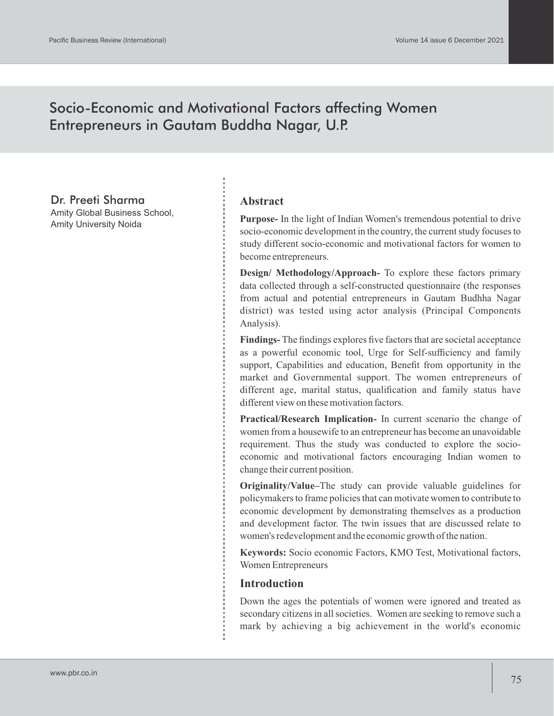# Socio-Economic and Motivational Factors affecting Women Entrepreneurs in Gautam Buddha Nagar, U.P.

Dr. Preeti Sharma

Amity Global Business School, Amity University Noida

### **Abstract**

**Purpose-** In the light of Indian Women's tremendous potential to drive socio-economic development in the country, the current study focuses to study different socio-economic and motivational factors for women to become entrepreneurs.

**Design/ Methodology/Approach-** To explore these factors primary data collected through a self-constructed questionnaire (the responses from actual and potential entrepreneurs in Gautam Budhha Nagar district) was tested using actor analysis (Principal Components Analysis).

**Findings-** The findings explores five factors that are societal acceptance as a powerful economic tool, Urge for Self-sufficiency and family support, Capabilities and education, Benefit from opportunity in the market and Governmental support. The women entrepreneurs of different age, marital status, qualification and family status have different view on these motivation factors.

**Practical/Research Implication-** In current scenario the change of women from a housewife to an entrepreneur has become an unavoidable requirement. Thus the study was conducted to explore the socioeconomic and motivational factors encouraging Indian women to change their current position.

**Originality/Value–**The study can provide valuable guidelines for policymakers to frame policies that can motivate women to contribute to economic development by demonstrating themselves as a production and development factor. The twin issues that are discussed relate to women's redevelopment and the economic growth of the nation.

**Keywords:** Socio economic Factors, KMO Test, Motivational factors, Women Entrepreneurs

### **Introduction**

Down the ages the potentials of women were ignored and treated as secondary citizens in all societies. Women are seeking to remove such a mark by achieving a big achievement in the world's economic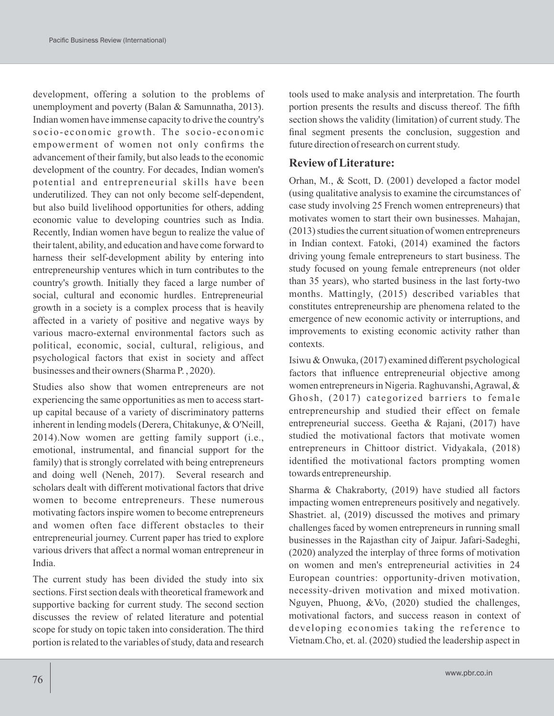development, offering a solution to the problems of unemployment and poverty (Balan & Samunnatha, 2013). Indian women have immense capacity to drive the country's socio-economic growth. The socio-economic empowerment of women not only confirms the advancement of their family, but also leads to the economic development of the country. For decades, Indian women's potential and entrepreneurial skills have been underutilized. They can not only become self-dependent, but also build livelihood opportunities for others, adding economic value to developing countries such as India. Recently, Indian women have begun to realize the value of their talent, ability, and education and have come forward to harness their self-development ability by entering into entrepreneurship ventures which in turn contributes to the country's growth. Initially they faced a large number of social, cultural and economic hurdles. Entrepreneurial growth in a society is a complex process that is heavily affected in a variety of positive and negative ways by various macro-external environmental factors such as political, economic, social, cultural, religious, and psychological factors that exist in society and affect businesses and their owners (Sharma P. , 2020).

Studies also show that women entrepreneurs are not experiencing the same opportunities as men to access startup capital because of a variety of discriminatory patterns inherent in lending models (Derera, Chitakunye, & O'Neill, 2014).Now women are getting family support (i.e., emotional, instrumental, and financial support for the family) that is strongly correlated with being entrepreneurs and doing well (Neneh, 2017). Several research and scholars dealt with different motivational factors that drive women to become entrepreneurs. These numerous motivating factors inspire women to become entrepreneurs and women often face different obstacles to their entrepreneurial journey. Current paper has tried to explore various drivers that affect a normal woman entrepreneur in India.

The current study has been divided the study into six sections. First section deals with theoretical framework and supportive backing for current study. The second section discusses the review of related literature and potential scope for study on topic taken into consideration. The third portion is related to the variables of study, data and research

tools used to make analysis and interpretation. The fourth portion presents the results and discuss thereof. The fifth section shows the validity (limitation) of current study. The final segment presents the conclusion, suggestion and future direction of research on current study.

# **Review of Literature:**

Orhan, M., & Scott, D. (2001) developed a factor model (using qualitative analysis to examine the circumstances of case study involving 25 French women entrepreneurs) that motivates women to start their own businesses. Mahajan, (2013) studies the current situation of women entrepreneurs in Indian context. Fatoki, (2014) examined the factors driving young female entrepreneurs to start business. The study focused on young female entrepreneurs (not older than 35 years), who started business in the last forty-two months. Mattingly, (2015) described variables that constitutes entrepreneurship are phenomena related to the emergence of new economic activity or interruptions, and improvements to existing economic activity rather than contexts.

Isiwu & Onwuka, (2017) examined different psychological factors that influence entrepreneurial objective among women entrepreneurs in Nigeria. Raghuvanshi, Agrawal, & Ghosh, (2017) categorized barriers to female entrepreneurship and studied their effect on female entrepreneurial success. Geetha & Rajani, (2017) have studied the motivational factors that motivate women entrepreneurs in Chittoor district. Vidyakala, (2018) identified the motivational factors prompting women towards entrepreneurship.

Sharma & Chakraborty, (2019) have studied all factors impacting women entrepreneurs positively and negatively. Shastriet. al, (2019) discussed the motives and primary challenges faced by women entrepreneurs in running small businesses in the Rajasthan city of Jaipur. Jafari-Sadeghi, (2020) analyzed the interplay of three forms of motivation on women and men's entrepreneurial activities in 24 European countries: opportunity-driven motivation, necessity-driven motivation and mixed motivation. Nguyen, Phuong, &Vo, (2020) studied the challenges, motivational factors, and success reason in context of developing economies taking the reference to Vietnam.Cho, et. al. (2020) studied the leadership aspect in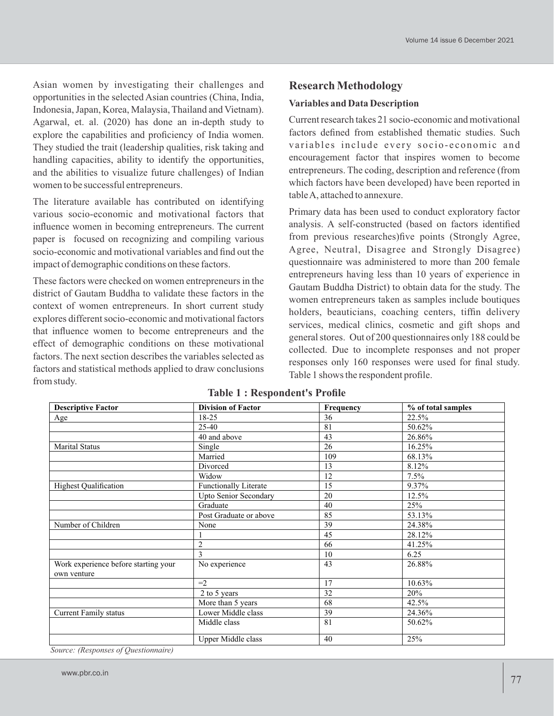Asian women by investigating their challenges and opportunities in the selected Asian countries (China, India, Indonesia, Japan, Korea, Malaysia, Thailand and Vietnam). Agarwal, et. al. (2020) has done an in-depth study to explore the capabilities and proficiency of India women. They studied the trait (leadership qualities, risk taking and handling capacities, ability to identify the opportunities, and the abilities to visualize future challenges) of Indian women to be successful entrepreneurs.

The literature available has contributed on identifying various socio-economic and motivational factors that influence women in becoming entrepreneurs. The current paper is focused on recognizing and compiling various socio-economic and motivational variables and find out the impact of demographic conditions on these factors.

These factors were checked on women entrepreneurs in the district of Gautam Buddha to validate these factors in the context of women entrepreneurs. In short current study explores different socio-economic and motivational factors that influence women to become entrepreneurs and the effect of demographic conditions on these motivational factors. The next section describes the variables selected as factors and statistical methods applied to draw conclusions from study.

### **Research Methodology**

#### **Variables and Data Description**

Current research takes 21 socio-economic and motivational factors defined from established thematic studies. Such variables include every socio-economic and encouragement factor that inspires women to become entrepreneurs. The coding, description and reference (from which factors have been developed) have been reported in table A, attached to annexure.

Primary data has been used to conduct exploratory factor analysis. A self-constructed (based on factors identified from previous researches)five points (Strongly Agree, Agree, Neutral, Disagree and Strongly Disagree) questionnaire was administered to more than 200 female entrepreneurs having less than 10 years of experience in Gautam Buddha District) to obtain data for the study. The women entrepreneurs taken as samples include boutiques holders, beauticians, coaching centers, tiffin delivery services, medical clinics, cosmetic and gift shops and general stores. Out of 200 questionnaires only 188 could be collected. Due to incomplete responses and not proper responses only 160 responses were used for final study. Table 1 shows the respondent profile.

| <b>Descriptive Factor</b>            | <b>Division of Factor</b>    | Frequency | % of total samples |
|--------------------------------------|------------------------------|-----------|--------------------|
| Age                                  | 18-25                        | 36        | 22.5%              |
|                                      | 25-40                        | 81        | 50.62%             |
|                                      | 40 and above                 | 43        | 26.86%             |
| <b>Marital Status</b>                | Single                       | 26        | 16.25%             |
|                                      | Married                      | 109       | 68.13%             |
|                                      | Divorced                     | 13        | 8.12%              |
|                                      | Widow                        | 12        | 7.5%               |
| <b>Highest Qualification</b>         | <b>Functionally Literate</b> | 15        | 9.37%              |
|                                      | <b>Upto Senior Secondary</b> | 20        | 12.5%              |
|                                      | Graduate                     | 40        | 25%                |
|                                      | Post Graduate or above       | 85        | 53.13%             |
| Number of Children                   | None                         | 39        | 24.38%             |
|                                      |                              | 45        | 28.12%             |
|                                      | $\overline{2}$               | 66        | 41.25%             |
|                                      | 3                            | 10        | 6.25               |
| Work experience before starting your | No experience                | 43        | 26.88%             |
| own venture                          |                              |           |                    |
|                                      | $=2$ .                       | 17        | 10.63%             |
|                                      | 2 to 5 years                 | 32        | 20%                |
|                                      | More than 5 years            | 68        | 42.5%              |
| <b>Current Family status</b>         | Lower Middle class           | 39        | 24.36%             |
|                                      | Middle class                 | 81        | 50.62%             |
| $\alpha$ $\alpha$ $\alpha$ $\beta$   | Upper Middle class           | 40        | 25%                |

#### **Table 1 : Respondent's Profile**

*Source: (Responses of Questionnaire)*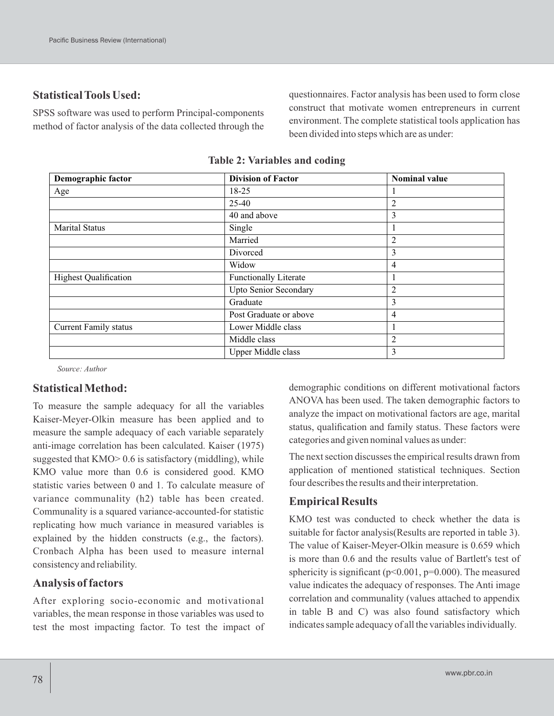# **Statistical Tools Used:**

SPSS software was used to perform Principal-components method of factor analysis of the data collected through the questionnaires. Factor analysis has been used to form close construct that motivate women entrepreneurs in current environment. The complete statistical tools application has been divided into steps which are as under:

| Demographic factor           | <b>Division of Factor</b>    | <b>Nominal value</b> |
|------------------------------|------------------------------|----------------------|
| Age                          | 18-25                        |                      |
|                              | 25-40                        | $\overline{2}$       |
|                              | 40 and above                 | 3                    |
| <b>Marital Status</b>        | Single                       |                      |
|                              | Married                      | 2                    |
|                              | Divorced                     | 3                    |
|                              | Widow                        | 4                    |
| <b>Highest Qualification</b> | <b>Functionally Literate</b> |                      |
|                              | <b>Upto Senior Secondary</b> | 2                    |
|                              | Graduate                     | 3                    |
|                              | Post Graduate or above       | 4                    |
| <b>Current Family status</b> | Lower Middle class           |                      |
|                              | Middle class                 | $\overline{2}$       |
|                              | Upper Middle class           | 3                    |

#### **Table 2: Variables and coding**

*Source: Author*

# **Statistical Method:**

To measure the sample adequacy for all the variables Kaiser-Meyer-Olkin measure has been applied and to measure the sample adequacy of each variable separately anti-image correlation has been calculated. Kaiser (1975) suggested that KMO > 0.6 is satisfactory (middling), while KMO value more than 0.6 is considered good. KMO statistic varies between 0 and 1. To calculate measure of variance communality (h2) table has been created. Communality is a squared variance-accounted-for statistic replicating how much variance in measured variables is explained by the hidden constructs (e.g., the factors). Cronbach Alpha has been used to measure internal consistency and reliability.

## **Analysis of factors**

After exploring socio-economic and motivational variables, the mean response in those variables was used to test the most impacting factor. To test the impact of demographic conditions on different motivational factors ANOVA has been used. The taken demographic factors to analyze the impact on motivational factors are age, marital status, qualification and family status. These factors were categories and given nominal values as under:

The next section discusses the empirical results drawn from application of mentioned statistical techniques. Section four describes the results and their interpretation.

# **Empirical Results**

KMO test was conducted to check whether the data is suitable for factor analysis(Results are reported in table 3). The value of Kaiser-Meyer-Olkin measure is 0.659 which is more than 0.6 and the results value of Bartlett's test of sphericity is significant ( $p<0.001$ ,  $p=0.000$ ). The measured value indicates the adequacy of responses. The Anti image correlation and communality (values attached to appendix in table B and C) was also found satisfactory which indicates sample adequacy of all the variables individually.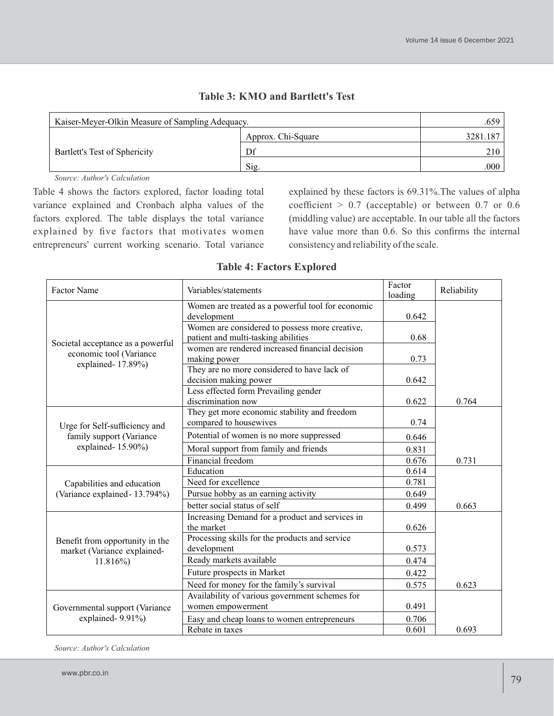| Kaiser-Meyer-Olkin Measure of Sampling Adequacy. | .659               |          |
|--------------------------------------------------|--------------------|----------|
| Bartlett's Test of Sphericity                    | Approx. Chi-Square | 3281.187 |
|                                                  | Df                 | 210      |
|                                                  | Sig.               | .000     |

## **Table 3: KMO and Bartlett's Test**

*Source: Author's Calculation*

Table 4 shows the factors explored, factor loading total variance explained and Cronbach alpha values of the factors explored. The table displays the total variance explained by five factors that motivates women entrepreneurs' current working scenario. Total variance explained by these factors is 69.31%.The values of alpha coefficient  $> 0.7$  (acceptable) or between 0.7 or 0.6 (middling value) are acceptable. In our table all the factors have value more than 0.6. So this confirms the internal consistency and reliability of the scale.

### **Table 4: Factors Explored**

| Factor Name                                                    | Variables/statements                                                                  | Factor<br>loading | Reliability |
|----------------------------------------------------------------|---------------------------------------------------------------------------------------|-------------------|-------------|
|                                                                | Women are treated as a powerful tool for economic<br>development                      | 0.642             |             |
| Societal acceptance as a powerful                              | Women are considered to possess more creative,<br>patient and multi-tasking abilities | 0.68              |             |
| economic tool (Variance<br>explained-17.89%)                   | women are rendered increased financial decision<br>making power                       | 0.73              |             |
|                                                                | They are no more considered to have lack of<br>decision making power                  | 0.642             |             |
|                                                                | Less effected form Prevailing gender<br>discrimination now                            | 0.622             | 0.764       |
| Urge for Self-sufficiency and                                  | They get more economic stability and freedom<br>compared to housewives                | 0.74              |             |
| family support (Variance                                       | Potential of women is no more suppressed                                              | 0.646             |             |
| explained-15.90%)                                              | Moral support from family and friends                                                 | 0.831             |             |
|                                                                | Financial freedom                                                                     | 0.676             | 0.731       |
|                                                                | Education                                                                             | 0.614             |             |
| Capabilities and education                                     | Need for excellence                                                                   | 0.781             |             |
| (Variance explained - 13.794%)                                 | Pursue hobby as an earning activity                                                   | 0.649             |             |
|                                                                | better social status of self                                                          | 0.499             | 0.663       |
|                                                                | Increasing Demand for a product and services in<br>the market                         | 0.626             |             |
| Benefit from opportunity in the<br>market (Variance explained- | Processing skills for the products and service<br>development                         | 0.573             |             |
| $11.816\%$                                                     | Ready markets available                                                               | 0.474             |             |
|                                                                | Future prospects in Market                                                            | 0.422             |             |
|                                                                | Need for money for the family's survival                                              | 0.575             | 0.623       |
|                                                                | Availability of various government schemes for                                        |                   |             |
| Governmental support (Variance                                 | women empowerment                                                                     | 0.491             |             |
| explained-9.91%)                                               | Easy and cheap loans to women entrepreneurs                                           | 0.706             |             |
|                                                                | Rebate in taxes                                                                       | 0.601             | 0.693       |

*Source: Author's Calculation*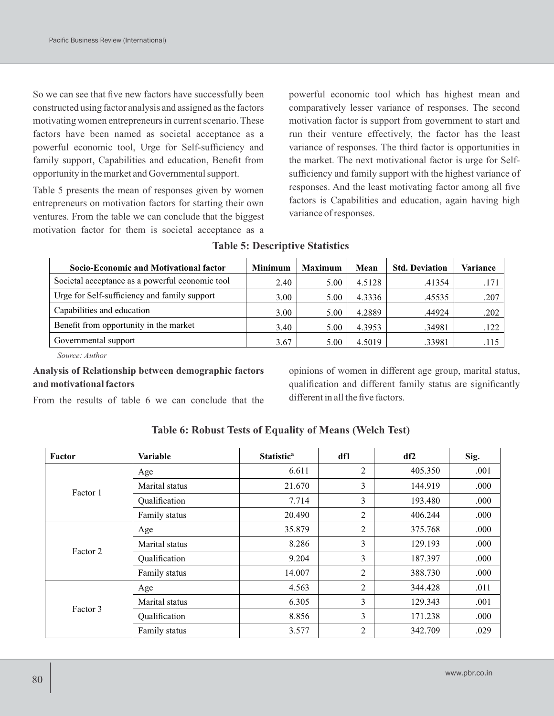So we can see that five new factors have successfully been constructed using factor analysis and assigned as the factors motivating women entrepreneurs in current scenario. These factors have been named as societal acceptance as a powerful economic tool, Urge for Self-sufficiency and family support, Capabilities and education, Benefit from opportunity in the market and Governmental support.

Table 5 presents the mean of responses given by women entrepreneurs on motivation factors for starting their own ventures. From the table we can conclude that the biggest motivation factor for them is societal acceptance as a powerful economic tool which has highest mean and comparatively lesser variance of responses. The second motivation factor is support from government to start and run their venture effectively, the factor has the least variance of responses. The third factor is opportunities in the market. The next motivational factor is urge for Selfsufficiency and family support with the highest variance of responses. And the least motivating factor among all five factors is Capabilities and education, again having high variance of responses.

| Socio-Economic and Motivational factor          | <b>Minimum</b> | <b>Maximum</b> | Mean   | <b>Std. Deviation</b> | Variance |
|-------------------------------------------------|----------------|----------------|--------|-----------------------|----------|
| Societal acceptance as a powerful economic tool | 2.40           | 5.00           | 4.5128 | .41354                | .171     |
| Urge for Self-sufficiency and family support    | 3.00           | 5.00           | 4.3336 | .45535                | .207     |
| Capabilities and education                      | 3.00           | 5.00           | 4.2889 | .44924                | .202     |
| Benefit from opportunity in the market          | 3.40           | 5.00           | 4.3953 | .34981                | .122     |
| Governmental support                            | 3.67           | 5.00           | 4.5019 | .33981                | .115     |

#### **Table 5: Descriptive Statistics**

*Source: Author*

### **Analysis of Relationship between demographic factors and motivational factors**

opinions of women in different age group, marital status, qualification and different family status are significantly different in all the five factors.

From the results of table 6 we can conclude that the

| Factor   | Variable       | <b>Statistic<sup>a</sup></b> | df1            | df2     | Sig. |
|----------|----------------|------------------------------|----------------|---------|------|
|          | Age            | 6.611                        | $\overline{c}$ | 405.350 | .001 |
| Factor 1 | Marital status | 21.670                       | 3              | 144.919 | .000 |
|          | Qualification  | 7.714                        | 3              | 193.480 | .000 |
|          | Family status  | 20.490                       | 2              | 406.244 | .000 |
|          | Age            | 35.879                       | 2              | 375.768 | .000 |
| Factor 2 | Marital status | 8.286                        | 3              | 129.193 | .000 |
|          | Qualification  | 9.204                        | 3              | 187.397 | .000 |
|          | Family status  | 14.007                       | 2              | 388.730 | .000 |
|          | Age            | 4.563                        | 2              | 344.428 | .011 |
| Factor 3 | Marital status | 6.305                        | 3              | 129.343 | .001 |
|          | Qualification  | 8.856                        | 3              | 171.238 | .000 |
|          | Family status  | 3.577                        | 2              | 342.709 | .029 |

### **Table 6: Robust Tests of Equality of Means (Welch Test)**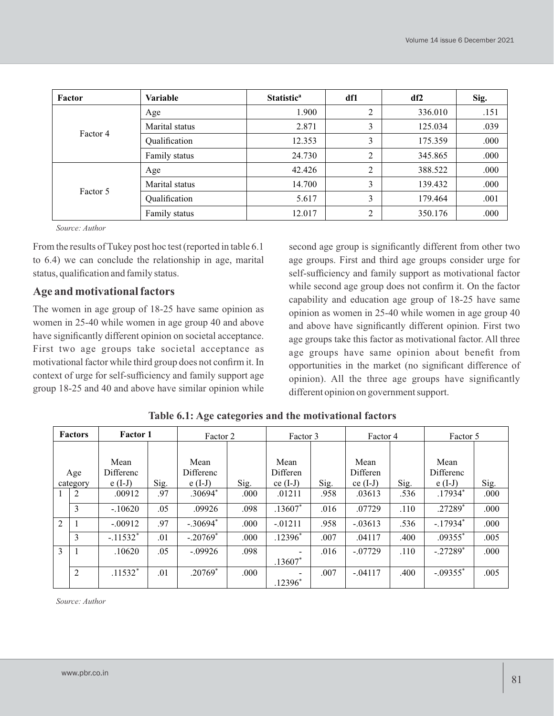| Factor   | Variable       | Statistic <sup>a</sup> | df1 | df2     | Sig. |
|----------|----------------|------------------------|-----|---------|------|
|          | Age            | 1.900                  | 2   | 336.010 | .151 |
|          | Marital status | 2.871                  | 3   | 125.034 | .039 |
| Factor 4 | Qualification  | 12.353                 | 3   | 175.359 | .000 |
|          | Family status  | 24.730                 | 2   | 345.865 | .000 |
|          | Age            | 42.426                 | 2   | 388.522 | .000 |
|          | Marital status | 14.700                 | 3   | 139.432 | .000 |
| Factor 5 | Qualification  | 5.617                  | 3   | 179.464 | .001 |
|          | Family status  | 12.017                 | 2   | 350.176 | .000 |

*Source: Author*

From the results of Tukey post hoc test (reported in table 6.1 to 6.4) we can conclude the relationship in age, marital status, qualification and family status.

# **Age and motivational factors**

The women in age group of 18-25 have same opinion as women in 25-40 while women in age group 40 and above have significantly different opinion on societal acceptance. First two age groups take societal acceptance as motivational factor while third group does not confirm it. In context of urge for self-sufficiency and family support age group 18-25 and 40 and above have similar opinion while second age group is significantly different from other two age groups. First and third age groups consider urge for self-sufficiency and family support as motivational factor while second age group does not confirm it. On the factor capability and education age group of 18-25 have same opinion as women in 25-40 while women in age group 40 and above have significantly different opinion. First two age groups take this factor as motivational factor. All three age groups have same opinion about benefit from opportunities in the market (no significant difference of opinion). All the three age groups have significantly different opinion on government support.

| <b>Factor 1</b><br><b>Factors</b> |                 |                                      | Factor 2 |                               |      | Factor 3                       |      | Factor 4                       |      | Factor 5                      |      |
|-----------------------------------|-----------------|--------------------------------------|----------|-------------------------------|------|--------------------------------|------|--------------------------------|------|-------------------------------|------|
|                                   | Age<br>category | Mean<br><b>Differenc</b><br>$e(I-J)$ | Sig.     | Mean<br>Differenc<br>$e(I-J)$ | Sig. | Mean<br>Differen<br>$ce (I-J)$ | Sig. | Mean<br>Differen<br>ce $(I-J)$ | Sig. | Mean<br>Differenc<br>$e(I-J)$ | Sig. |
|                                   | 2               | .00912                               | .97      | .30694*                       | .000 | .01211                         | .958 | .03613                         | .536 | $.17934*$                     | .000 |
|                                   | 3               | $-.10620$                            | .05      | .09926                        | .098 | .13607*                        | .016 | .07729                         | .110 | $.27289*$                     | .000 |
| $\overline{2}$                    |                 | $-.00912$                            | .97      | $-.30694*$                    | .000 | $-0.01211$                     | .958 | $-.03613$                      | .536 | $-.17934*$                    | .000 |
|                                   | 3               | $-.11532*$                           | .01      | $-.20769*$                    | .000 | $.12396*$                      | .007 | .04117                         | .400 | $.09355*$                     | .005 |
| 3                                 |                 | .10620                               | .05      | $-.09926$                     | .098 | $.13607*$                      | .016 | $-.07729$                      | .110 | $-.27289*$                    | .000 |
|                                   | 2               | $.11532*$                            | .01      | $.20769*$                     | .000 | $.12396*$                      | .007 | $-.04117$                      | .400 | $-.09355$ <sup>*</sup>        | .005 |

**Table 6.1: Age categories and the motivational factors**

*Source: Author*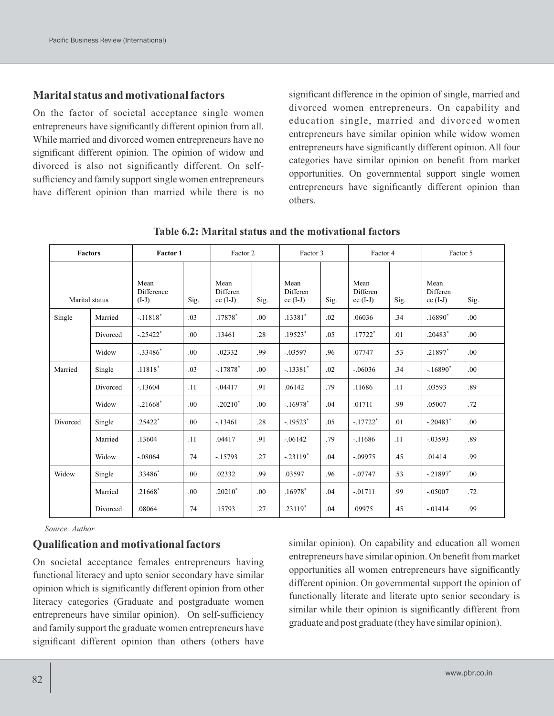# **Marital status and motivational factors**

On the factor of societal acceptance single women entrepreneurs have significantly different opinion from all. While married and divorced women entrepreneurs have no significant different opinion. The opinion of widow and divorced is also not significantly different. On selfsufficiency and family support single women entrepreneurs have different opinion than married while there is no significant difference in the opinion of single, married and divorced women entrepreneurs. On capability and education single, married and divorced women entrepreneurs have similar opinion while widow women entrepreneurs have significantly different opinion. All four categories have similar opinion on benefit from market opportunities. On governmental support single women entrepreneurs have significantly different opinion than others.

| Factors        |          | Factor 1                      |      | Factor 2                       |      | Factor 3                       |      | Factor 4                       |      | Factor 5                       |      |
|----------------|----------|-------------------------------|------|--------------------------------|------|--------------------------------|------|--------------------------------|------|--------------------------------|------|
| Marital status |          | Mean<br>Difference<br>$(I-J)$ | Sig. | Mean<br>Differen<br>$ce (I-J)$ | Sig. | Mean<br>Differen<br>$ce (I-J)$ | Sig. | Mean<br>Differen<br>$ce (I-J)$ | Sig. | Mean<br>Differen<br>$ce (I-J)$ | Sig. |
| Single         | Married  | $-.11818*$                    | .03  | .17878*                        | .00  | .13381*                        | .02  | .06036                         | .34  | $.16890*$                      | .00. |
|                | Divorced | $-.25422*$                    | .00  | .13461                         | .28  | $.19523*$                      | .05  | $.17722*$                      | .01  | $.20483*$                      | .00. |
|                | Widow    | $-.33486*$                    | .00. | $-0.02332$                     | .99  | $-.03597$                      | .96  | .07747                         | .53  | .21897*                        | .00. |
| Married        | Single   | $.11818*$                     | .03  | $-.17878*$                     | .00  | $-.13381*$                     | .02  | $-.06036$                      | .34  | $-.16890*$                     | .00  |
|                | Divorced | $-13604$                      | .11  | $-0.04417$                     | .91  | .06142                         | .79  | .11686                         | .11  | .03593                         | .89  |
|                | Widow    | $-.21668*$                    | .00. | $-.20210*$                     | .00  | $-.16978$ <sup>*</sup>         | .04  | .01711                         | .99  | .05007                         | .72  |
| Divorced       | Single   | $.25422*$                     | .00. | $-13461$                       | .28  | $-.19523$ <sup>*</sup>         | .05  | $-.17722*$                     | .01  | $-.20483*$                     | .00. |
|                | Married  | .13604                        | .11  | .04417                         | .91  | $-.06142$                      | .79  | $-.11686$                      | .11  | $-0.03593$                     | .89  |
|                | Widow    | $-.08064$                     | .74  | $-15793$                       | .27  | $-.23119*$                     | .04  | $-.09975$                      | .45  | .01414                         | .99  |
| Widow          | Single   | .33486*                       | .00. | .02332                         | .99  | .03597                         | .96  | $-.07747$                      | .53  | $-.21897$ <sup>*</sup>         | .00. |
|                | Married  | $.21668*$                     | .00. | $.20210*$                      | .00  | $.16978*$                      | .04  | $-.01711$                      | .99  | $-.05007$                      | .72  |
|                | Divorced | .08064                        | .74  | .15793                         | .27  | $.23119*$                      | .04  | .09975                         | .45  | $-01414$                       | .99  |

**Table 6.2: Marital status and the motivational factors**

*Source: Author*

## **Qualification and motivational factors**

On societal acceptance females entrepreneurs having functional literacy and upto senior secondary have similar opinion which is significantly different opinion from other literacy categories (Graduate and postgraduate women entrepreneurs have similar opinion). On self-sufficiency and family support the graduate women entrepreneurs have significant different opinion than others (others have

similar opinion). On capability and education all women entrepreneurs have similar opinion. On benefit from market opportunities all women entrepreneurs have significantly different opinion. On governmental support the opinion of functionally literate and literate upto senior secondary is similar while their opinion is significantly different from graduate and post graduate (they have similar opinion).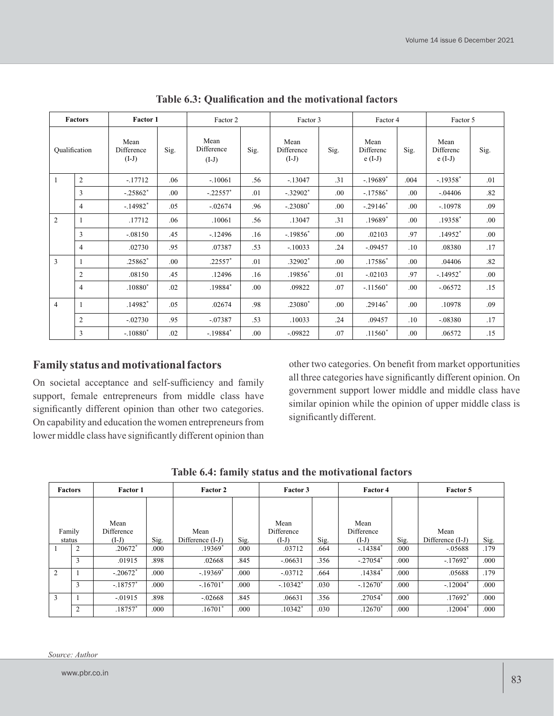|                | <b>Factors</b> | Factor 1                      |      | Factor 2                      |      | Factor 3                      |      | Factor 4                      |      | Factor 5                      |      |
|----------------|----------------|-------------------------------|------|-------------------------------|------|-------------------------------|------|-------------------------------|------|-------------------------------|------|
| Qualification  |                | Mean<br>Difference<br>$(I-J)$ | Sig. | Mean<br>Difference<br>$(I-J)$ | Sig. | Mean<br>Difference<br>$(I-J)$ | Sig. | Mean<br>Differenc<br>$e(I-J)$ | Sig. | Mean<br>Differenc<br>$e(I-J)$ | Sig. |
| $\overline{1}$ | $\overline{c}$ | $-17712$                      | .06  | $-.10061$                     | .56  | $-13047$                      | .31  | $-.19689*$                    | .004 | $-.19358$ <sup>*</sup>        | .01  |
|                | 3              | $-.25862*$                    | .00. | $-.22557$ *                   | .01  | $-.32902$ <sup>*</sup>        | .00  | $-17586*$                     | .00  | $-.04406$                     | .82  |
|                | $\overline{4}$ | $-14982$ <sup>*</sup>         | .05  | $-.02674$                     | .96  | $-.23080*$                    | .00  | $-.29146*$                    | .00  | $-10978$                      | .09  |
| 2              |                | .17712                        | .06  | .10061                        | .56  | .13047                        | .31  | .19689*                       | .00. | $.19358*$                     | .00. |
|                | 3              | $-.08150$                     | .45  | $-12496$                      | .16  | $-.19856*$                    | .00. | .02103                        | .97  | $.14952*$                     | .00. |
|                | $\overline{4}$ | .02730                        | .95  | .07387                        | .53  | $-.10033$                     | .24  | $-.09457$                     | .10  | .08380                        | .17  |
| $\overline{3}$ |                | $.25862*$                     | .00. | $.22557*$                     | .01  | .32902*                       | .00. | .17586*                       | .00. | .04406                        | .82  |
|                | 2              | .08150                        | .45  | .12496                        | .16  | .19856*                       | .01  | $-.02103$                     | .97  | $-.14952$ <sup>*</sup>        | .00. |
|                | $\overline{4}$ | $.10880*$                     | .02  | $.19884*$                     | .00. | .09822                        | .07  | $-.11560*$                    | .00. | $-.06572$                     | .15  |
| $\overline{4}$ |                | $.14982*$                     | .05  | .02674                        | .98  | .23080*                       | .00. | $.29146*$                     | .00  | .10978                        | .09  |
|                | $\overline{c}$ | $-02730$                      | .95  | $-.07387$                     | .53  | .10033                        | .24  | .09457                        | .10  | $-.08380$                     | .17  |
|                | 3              | $-.10880*$                    | .02  | $-.19884*$                    | .00. | $-0.09822$                    | .07  | $.11560*$                     | .00  | .06572                        | .15  |

**Table 6.3: Qualification and the motivational factors**

# **Family status and motivational factors**

On societal acceptance and self-sufficiency and family support, female entrepreneurs from middle class have significantly different opinion than other two categories. On capability and education the women entrepreneurs from lower middle class have significantly different opinion than

other two categories. On benefit from market opportunities all three categories have significantly different opinion. On government support lower middle and middle class have similar opinion while the opinion of upper middle class is significantly different.

| <b>Factors</b>   |                | Factor 1                             |      |                            | <b>Factor 2</b> |                               | Factor 3 |                               | Factor 4 |                            |      |
|------------------|----------------|--------------------------------------|------|----------------------------|-----------------|-------------------------------|----------|-------------------------------|----------|----------------------------|------|
|                  |                |                                      |      |                            |                 |                               |          |                               |          |                            |      |
| Family<br>status |                | Mean<br><b>Difference</b><br>$(I-J)$ | Sig. | Mean<br>Difference $(I-J)$ | Sig.            | Mean<br>Difference<br>$(I-J)$ | Sig.     | Mean<br>Difference<br>$(I-J)$ | Sig.     | Mean<br>Difference $(I-J)$ | Sig. |
|                  | $\overline{2}$ | $.20672*$                            | .000 | $.19369*$                  | .000            | .03712                        | .664     | $-.14384*$                    | .000     | $-.05688$                  | .179 |
|                  | 3              | .01915                               | .898 | .02668                     | .845            | $-.06631$                     | .356     | $-.27054*$                    | .000     | $-.17692*$                 | .000 |
| 2                |                | $-.20672*$                           | .000 | $-.19369$ <sup>*</sup>     | .000            | $-.03712$                     | .664     | $.14384*$                     | .000     | .05688                     | .179 |
|                  | 3              | $-.18757*$                           | .000 | $-.16701*$                 | .000            | $-.10342*$                    | .030     | $-.12670*$                    | .000     | $-.12004*$                 | .000 |
| 3                |                | $-.01915$                            | .898 | $-.02668$                  | .845            | .06631                        | .356     | .27054*                       | .000     | $.17692*$                  | .000 |
|                  | 2              | .18757*                              | .000 | $.16701*$                  | .000            | $.10342*$                     | .030     | $.12670*$                     | .000     | $.12004*$                  | .000 |

**Table 6.4: family status and the motivational factors**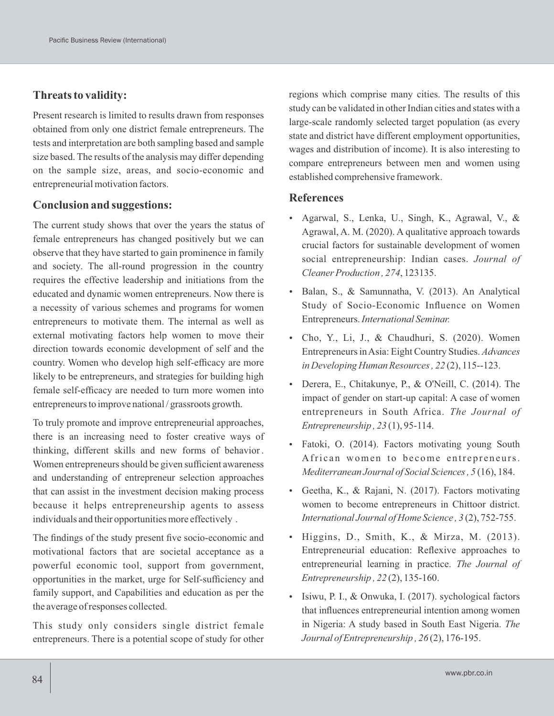# **Threats to validity:**

Present research is limited to results drawn from responses obtained from only one district female entrepreneurs. The tests and interpretation are both sampling based and sample size based. The results of the analysis may differ depending on the sample size, areas, and socio-economic and entrepreneurial motivation factors.

### **Conclusion and suggestions:**

The current study shows that over the years the status of female entrepreneurs has changed positively but we can observe that they have started to gain prominence in family and society. The all-round progression in the country requires the effective leadership and initiations from the educated and dynamic women entrepreneurs. Now there is a necessity of various schemes and programs for women entrepreneurs to motivate them. The internal as well as external motivating factors help women to move their direction towards economic development of self and the country. Women who develop high self-efficacy are more likely to be entrepreneurs, and strategies for building high female self-efficacy are needed to turn more women into entrepreneurs to improve national / grassroots growth.

To truly promote and improve entrepreneurial approaches, there is an increasing need to foster creative ways of thinking, different skills and new forms of behavior. Women entrepreneurs should be given sufficient awareness and understanding of entrepreneur selection approaches that can assist in the investment decision making process because it helps entrepreneurship agents to assess individuals and their opportunities more effectively .

The findings of the study present five socio-economic and motivational factors that are societal acceptance as a powerful economic tool, support from government, opportunities in the market, urge for Self-sufficiency and family support, and Capabilities and education as per the the average of responses collected.

This study only considers single district female entrepreneurs. There is a potential scope of study for other regions which comprise many cities. The results of this study can be validated in other Indian cities and states with a large-scale randomly selected target population (as every state and district have different employment opportunities, wages and distribution of income). It is also interesting to compare entrepreneurs between men and women using established comprehensive framework.

### **References**

- Agarwal, S., Lenka, U., Singh, K., Agrawal, V., & Agrawal, A. M. (2020). A qualitative approach towards crucial factors for sustainable development of women social entrepreneurship: Indian cases. *Journal of Cleaner Production , 274*, 123135.
- Balan, S., & Samunnatha, V. (2013). An Analytical Study of Socio-Economic Influence on Women Entrepreneurs. *International Seminar.*
- Cho, Y., Li, J., & Chaudhuri, S. (2020). Women Entrepreneurs in Asia: Eight Country Studies. *Advances in Developing Human Resources, 22* (2), 115--123.
- Derera, E., Chitakunye, P., & O'Neill, C. (2014). The impact of gender on start-up capital: A case of women entrepreneurs in South Africa. *The Journal of Entrepreneurship , 23* (1), 95-114.
- Fatoki, O. (2014). Factors motivating young South African women to become entrepreneurs. *Mediterranean Journal of Social Sciences, 5* (16), 184.
- Geetha, K., & Rajani, N. (2017). Factors motivating women to become entrepreneurs in Chittoor district. *International Journal of Home Science , 3* (2), 752-755.
- Higgins, D., Smith, K., & Mirza, M. (2013). Entrepreneurial education: Reflexive approaches to entrepreneurial learning in practice. *The Journal of Entrepreneurship , 22* (2), 135-160.
- Isiwu, P. I., & Onwuka, I. (2017). sychological factors that influences entrepreneurial intention among women in Nigeria: A study based in South East Nigeria. *The Journal of Entrepreneurship , 26* (2), 176-195.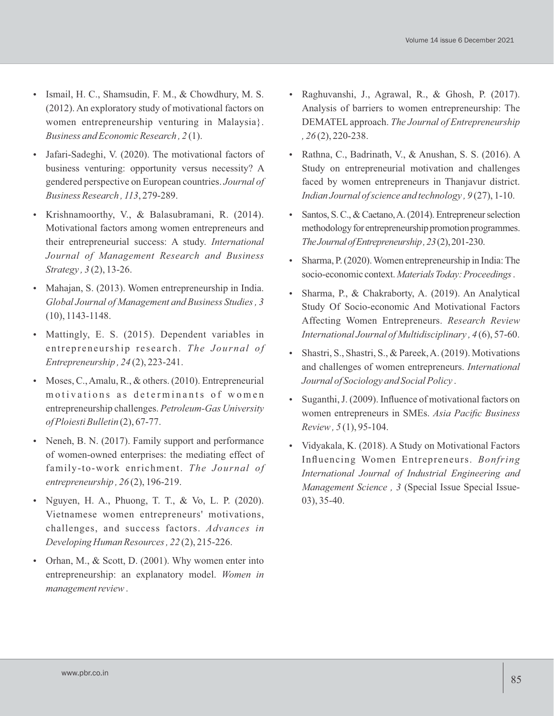- Ismail, H. C., Shamsudin, F. M., & Chowdhury, M. S. (2012). An exploratory study of motivational factors on women entrepreneurship venturing in Malaysia}. *Business and Economic Research , 2* (1).
- Jafari-Sadeghi, V. (2020). The motivational factors of business venturing: opportunity versus necessity? A gendered perspective on European countries. *Journal of Business Research , 113*, 279-289.
- Krishnamoorthy, V., & Balasubramani, R. (2014). Motivational factors among women entrepreneurs and their entrepreneurial success: A study. *International Journal of Management Research and Business Strategy , 3* (2), 13-26.
- Mahajan, S. (2013). Women entrepreneurship in India. *Global Journal of Management and Business Studies, 3* (10), 1143-1148.
- Mattingly, E. S. (2015). Dependent variables in entrepreneurship research. The Journal of *Entrepreneurship , 24* (2), 223-241.
- Moses, C., Amalu, R., & others. (2010). Entrepreneurial motivations as determinants of women entrepreneurship challenges. *Petroleum-Gas University of Ploiesti Bulletin* (2), 67-77.
- Neneh, B. N. (2017). Family support and performance of women-owned enterprises: the mediating effect of family-to-work enrichment. *The Journal of entrepreneurship , 26* (2), 196-219.
- Nguyen, H. A., Phuong, T. T., & Vo, L. P. (2020). Vietnamese women entrepreneurs' motivations, challenges, and success factors. *Advances in Developing Human Resources, 22* (2), 215-226.
- Orhan, M., & Scott, D. (2001). Why women enter into entrepreneurship: an explanatory model. *Women in management review*.
- Raghuvanshi, J., Agrawal, R., & Ghosh, P. (2017). Analysis of barriers to women entrepreneurship: The DEMATEL approach. *The Journal of Entrepreneurship , 26* (2), 220-238.
- Rathna, C., Badrinath, V., & Anushan, S. S. (2016). A Study on entrepreneurial motivation and challenges faced by women entrepreneurs in Thanjavur district. *Indian Journal of science and technology , 9* (27), 1-10.
- Santos, S. C., & Caetano, A. (2014). Entrepreneur selection methodology for entrepreneurship promotion programmes. *TheJournalofEntrepreneurship,23*(2),201-230.
- Sharma, P.(2020).Women entrepreneurship in India:The socio-economic context.*MaterialsToday:Proceedings*.
- Sharma, P., & Chakraborty, A. (2019). An Analytical Study Of Socio-economic And Motivational Factors Affecting Women Entrepreneurs. *Research Review International Journal of Multidisciplinary , 4* (6), 57-60.
- Shastri, S., Shastri, S., & Pareek, A. (2019). Motivations and challenges of women entrepreneurs. *International Journal of Sociology and Social Policy* .
- Suganthi, J. (2009). Influence of motivational factors on women entrepreneurs in SMEs. *Asia Pacific Business Review, 5* (1), 95-104.
- Vidyakala, K. (2018). A Study on Motivational Factors Influencing Women Entrepreneurs. *Bonfring International Journal of Industrial Engineering and Management Science , 3* (Special Issue Special Issue-03), 35-40.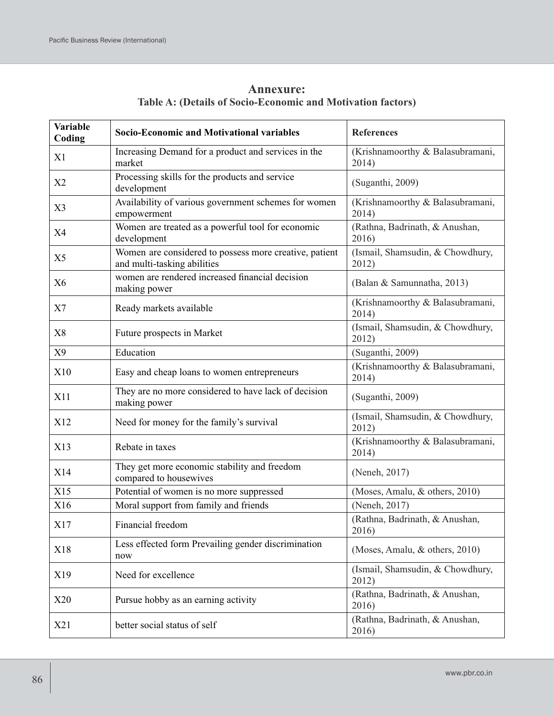| <b>Annexure:</b>                                            |  |
|-------------------------------------------------------------|--|
| Table A: (Details of Socio-Economic and Motivation factors) |  |

| Variable<br>Coding | <b>Socio-Economic and Motivational variables</b>                                      | <b>References</b>                         |
|--------------------|---------------------------------------------------------------------------------------|-------------------------------------------|
| X1                 | Increasing Demand for a product and services in the<br>market                         | (Krishnamoorthy & Balasubramani,<br>2014) |
| X2                 | Processing skills for the products and service<br>development                         | (Suganthi, 2009)                          |
| X <sub>3</sub>     | Availability of various government schemes for women<br>empowerment                   | (Krishnamoorthy & Balasubramani,<br>2014) |
| X4                 | Women are treated as a powerful tool for economic<br>development                      | (Rathna, Badrinath, & Anushan,<br>2016)   |
| X <sub>5</sub>     | Women are considered to possess more creative, patient<br>and multi-tasking abilities | (Ismail, Shamsudin, & Chowdhury,<br>2012) |
| X <sub>6</sub>     | women are rendered increased financial decision<br>making power                       | (Balan & Samunnatha, 2013)                |
| X7                 | Ready markets available                                                               | (Krishnamoorthy & Balasubramani,<br>2014) |
| X8                 | Future prospects in Market                                                            | (Ismail, Shamsudin, & Chowdhury,<br>2012) |
| X9                 | Education                                                                             | (Suganthi, 2009)                          |
| X10                | Easy and cheap loans to women entrepreneurs                                           | (Krishnamoorthy & Balasubramani,<br>2014) |
| X11                | They are no more considered to have lack of decision<br>making power                  | (Suganthi, 2009)                          |
| X12                | Need for money for the family's survival                                              | (Ismail, Shamsudin, & Chowdhury,<br>2012) |
| X13                | Rebate in taxes                                                                       | (Krishnamoorthy & Balasubramani,<br>2014) |
| X14                | They get more economic stability and freedom<br>compared to housewives                | (Neneh, 2017)                             |
| X15                | Potential of women is no more suppressed                                              | (Moses, Amalu, & others, 2010)            |
| X16                | Moral support from family and friends                                                 | (Neneh, 2017)                             |
| X17                | Financial freedom                                                                     | (Rathna, Badrinath, & Anushan,<br>2016)   |
| X18                | Less effected form Prevailing gender discrimination<br>now                            | (Moses, Amalu, & others, 2010)            |
| X19                | Need for excellence                                                                   | (Ismail, Shamsudin, & Chowdhury,<br>2012) |
| X20                | Pursue hobby as an earning activity                                                   | (Rathna, Badrinath, & Anushan,<br>2016)   |
| X21                | better social status of self                                                          | (Rathna, Badrinath, & Anushan,<br>2016)   |